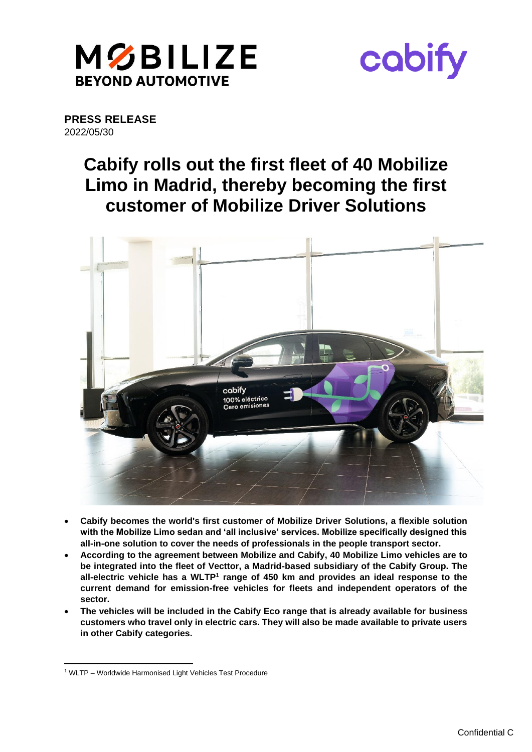



**PRESS RELEASE** 2022/05/30

# **Cabify rolls out the first fleet of 40 Mobilize Limo in Madrid, thereby becoming the first customer of Mobilize Driver Solutions**



- **Cabify becomes the world's first customer of Mobilize Driver Solutions, a flexible solution with the Mobilize Limo sedan and 'all inclusive' services. Mobilize specifically designed this all-in-one solution to cover the needs of professionals in the people transport sector.**
- **According to the agreement between Mobilize and Cabify, 40 Mobilize Limo vehicles are to be integrated into the fleet of Vecttor, a Madrid-based subsidiary of the Cabify Group. The all-electric vehicle has a WLTP<sup>1</sup> range of 450 km and provides an ideal response to the current demand for emission-free vehicles for fleets and independent operators of the sector.**
- **The vehicles will be included in the Cabify Eco range that is already available for business customers who travel only in electric cars. They will also be made available to private users in other Cabify categories.**

<sup>1</sup> WLTP – Worldwide Harmonised Light Vehicles Test Procedure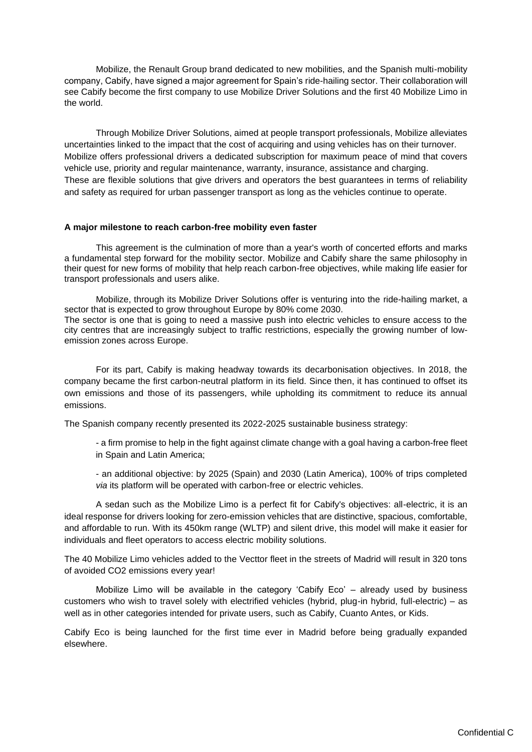Mobilize, the Renault Group brand dedicated to new mobilities, and the Spanish multi-mobility company, Cabify, have signed a major agreement for Spain's ride-hailing sector. Their collaboration will see Cabify become the first company to use Mobilize Driver Solutions and the first 40 Mobilize Limo in the world.

Through Mobilize Driver Solutions, aimed at people transport professionals, Mobilize alleviates uncertainties linked to the impact that the cost of acquiring and using vehicles has on their turnover. Mobilize offers professional drivers a dedicated subscription for maximum peace of mind that covers vehicle use, priority and regular maintenance, warranty, insurance, assistance and charging. These are flexible solutions that give drivers and operators the best guarantees in terms of reliability and safety as required for urban passenger transport as long as the vehicles continue to operate.

## **A major milestone to reach carbon-free mobility even faster**

This agreement is the culmination of more than a year's worth of concerted efforts and marks a fundamental step forward for the mobility sector. Mobilize and Cabify share the same philosophy in their quest for new forms of mobility that help reach carbon-free objectives, while making life easier for transport professionals and users alike.

Mobilize, through its Mobilize Driver Solutions offer is venturing into the ride-hailing market, a sector that is expected to grow throughout Europe by 80% come 2030. The sector is one that is going to need a massive push into electric vehicles to ensure access to the

city centres that are increasingly subject to traffic restrictions, especially the growing number of lowemission zones across Europe.

For its part, Cabify is making headway towards its decarbonisation objectives. In 2018, the company became the first carbon-neutral platform in its field. Since then, it has continued to offset its own emissions and those of its passengers, while upholding its commitment to reduce its annual emissions.

The Spanish company recently presented its 2022-2025 sustainable business strategy:

- a firm promise to help in the fight against climate change with a goal having a carbon-free fleet in Spain and Latin America;

- an additional objective: by 2025 (Spain) and 2030 (Latin America), 100% of trips completed *via* its platform will be operated with carbon-free or electric vehicles.

A sedan such as the Mobilize Limo is a perfect fit for Cabify's objectives: all-electric, it is an ideal response for drivers looking for zero-emission vehicles that are distinctive, spacious, comfortable, and affordable to run. With its 450km range (WLTP) and silent drive, this model will make it easier for individuals and fleet operators to access electric mobility solutions.

The 40 Mobilize Limo vehicles added to the Vecttor fleet in the streets of Madrid will result in 320 tons of avoided CO2 emissions every year!

Mobilize Limo will be available in the category 'Cabify Eco' – already used by business customers who wish to travel solely with electrified vehicles (hybrid, plug-in hybrid, full-electric) – as well as in other categories intended for private users, such as Cabify, Cuanto Antes, or Kids.

Cabify Eco is being launched for the first time ever in Madrid before being gradually expanded elsewhere.